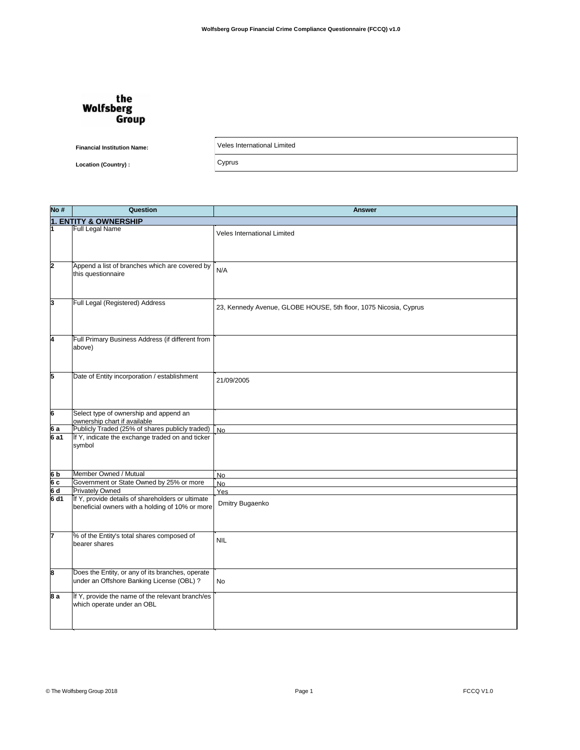## the **Wolfsberg** Group

**Financial Institution Name:** 

Veles International Limited

Cyprus

**Location (Country):** 

Question  $No#$ **Answer 1. ENTITY & OWNERSHIP** Full Legal Name Veles International Limited Append a list of branches which are covered by ,  $N/A$ this questionnaire Full Legal (Registered) Address 23, Kennedy Avenue, GLOBE HOUSE, 5th floor, 1075 Nicosia, Cyprus Full Primary Business Address (if different from above) Date of Entity incorporation / establishment ĸ 21/09/2005 Select type of ownership and append an ownership chart if available<br>Publicly Traded (25% of shares publicly traded) 6 a  $6a1$ If Y, indicate the exchange traded on and ticker symbol Member Owned / Mutual 6 b .<br>No Government or State Owned by 25% or more 6 c  $No$  $\overline{\mathsf{a}}$ Privately Owned Yes If Y, provide details of shareholders or ultimate  $6d1$ Dmitry Bugaenko beneficial owners with a holding of 10% or more % of the Entity's total shares composed of **NIL** bearer shares Does the Entity, or any of its branches, operate under an Offshore Banking License (OBL) ? No If Y, provide the name of the relevant branch/es  $8a$ which operate under an OBL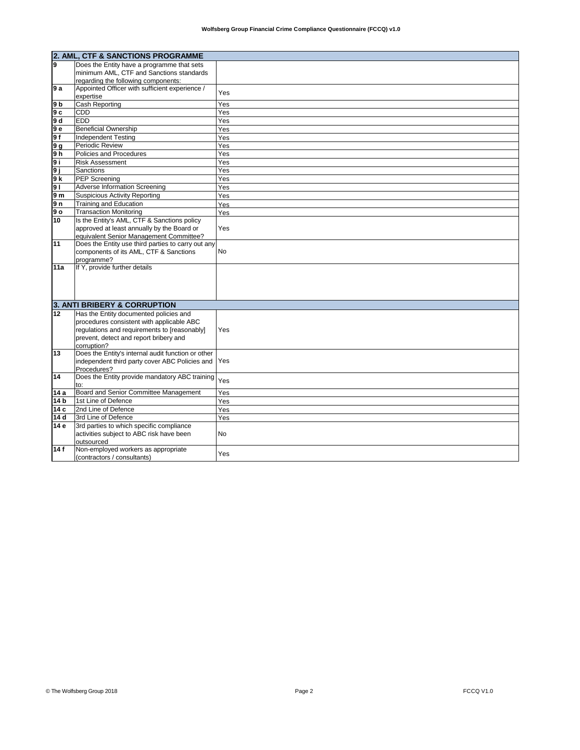|                 | 2. AML, CTF & SANCTIONS PROGRAMME                                                             |           |  |
|-----------------|-----------------------------------------------------------------------------------------------|-----------|--|
| l9.             | Does the Entity have a programme that sets                                                    |           |  |
|                 | minimum AML, CTF and Sanctions standards                                                      |           |  |
|                 | regarding the following components:                                                           |           |  |
| 9 a             | Appointed Officer with sufficient experience /                                                | Yes       |  |
|                 | expertise                                                                                     |           |  |
| 9 b             | <b>Cash Reporting</b>                                                                         | Yes       |  |
| 9 с             | <b>CDD</b>                                                                                    | Yes       |  |
| 9 d             | <b>EDD</b>                                                                                    | Yes       |  |
| 9 е             | <b>Beneficial Ownership</b>                                                                   | Yes       |  |
| 9 f             | <b>Independent Testing</b>                                                                    | Yes       |  |
| 9 g             | Periodic Review                                                                               | Yes       |  |
| 9 h             | Policies and Procedures                                                                       | Yes       |  |
| 9 i             | <b>Risk Assessment</b>                                                                        | Yes       |  |
| 9j              | <b>Sanctions</b>                                                                              | Yes       |  |
| 9 k             | <b>PEP Screening</b>                                                                          | Yes       |  |
| 91              | <b>Adverse Information Screening</b>                                                          | Yes       |  |
| 9 m             | <b>Suspicious Activity Reporting</b>                                                          | Yes       |  |
| 9 n             | <b>Training and Education</b>                                                                 | Yes       |  |
| 9о              | <b>Transaction Monitoring</b>                                                                 | Yes       |  |
| 10              | Is the Entity's AML, CTF & Sanctions policy                                                   |           |  |
|                 | approved at least annually by the Board or                                                    | Yes       |  |
|                 | equivalent Senior Management Committee?<br>Does the Entity use third parties to carry out any |           |  |
| 11              | components of its AML, CTF & Sanctions                                                        | <b>No</b> |  |
|                 | programme?                                                                                    |           |  |
| 11a             | If Y, provide further details                                                                 |           |  |
|                 |                                                                                               |           |  |
|                 |                                                                                               |           |  |
|                 |                                                                                               |           |  |
|                 |                                                                                               |           |  |
|                 | 3. ANTI BRIBERY & CORRUPTION                                                                  |           |  |
| 12              | Has the Entity documented policies and                                                        |           |  |
|                 | procedures consistent with applicable ABC                                                     |           |  |
|                 | regulations and requirements to [reasonably]                                                  | Yes       |  |
|                 | prevent, detect and report bribery and                                                        |           |  |
|                 | corruption?<br>Does the Entity's internal audit function or other                             |           |  |
| 13              | independent third party cover ABC Policies and Yes                                            |           |  |
|                 | Procedures?                                                                                   |           |  |
| 14              | Does the Entity provide mandatory ABC training                                                |           |  |
|                 | to:                                                                                           | Yes       |  |
| 14 a            | Board and Senior Committee Management                                                         | Yes       |  |
| 14 <sub>b</sub> | 1st Line of Defence                                                                           | Yes       |  |
| 14 c            | 2nd Line of Defence                                                                           | Yes       |  |
| 14 d            | 3rd Line of Defence                                                                           | Yes       |  |
| 14 e            | 3rd parties to which specific compliance                                                      |           |  |
|                 | activities subject to ABC risk have been                                                      | No        |  |
|                 | outsourced                                                                                    |           |  |
| 14f             | Non-employed workers as appropriate                                                           | Yes       |  |
|                 | (contractors / consultants)                                                                   |           |  |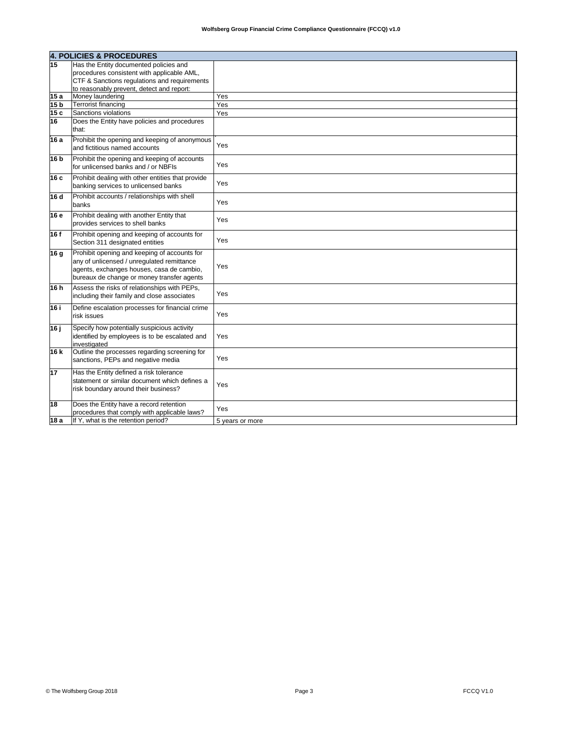|                 | 4. POLICIES & PROCEDURES                                                                                                                                                              |                 |  |
|-----------------|---------------------------------------------------------------------------------------------------------------------------------------------------------------------------------------|-----------------|--|
| 15              | Has the Entity documented policies and                                                                                                                                                |                 |  |
|                 | procedures consistent with applicable AML,                                                                                                                                            |                 |  |
|                 | CTF & Sanctions regulations and requirements                                                                                                                                          |                 |  |
|                 | to reasonably prevent, detect and report:                                                                                                                                             |                 |  |
| 15a             | Money laundering                                                                                                                                                                      | Yes             |  |
| 15 <sub>b</sub> | Terrorist financing                                                                                                                                                                   | Yes             |  |
| 15c             | Sanctions violations                                                                                                                                                                  | Yes             |  |
| 16              | Does the Entity have policies and procedures<br>that:                                                                                                                                 |                 |  |
| 16 a            | Prohibit the opening and keeping of anonymous<br>and fictitious named accounts                                                                                                        | Yes             |  |
| 16 b            | Prohibit the opening and keeping of accounts<br>for unlicensed banks and / or NBFIs                                                                                                   | Yes             |  |
| 16 c            | Prohibit dealing with other entities that provide<br>banking services to unlicensed banks                                                                                             | Yes             |  |
| 16 d            | Prohibit accounts / relationships with shell<br>banks                                                                                                                                 | Yes             |  |
| 16 e            | Prohibit dealing with another Entity that<br>provides services to shell banks                                                                                                         | Yes             |  |
| 16 f            | Prohibit opening and keeping of accounts for<br>Section 311 designated entities                                                                                                       | Yes             |  |
| 16 g            | Prohibit opening and keeping of accounts for<br>any of unlicensed / unregulated remittance<br>agents, exchanges houses, casa de cambio,<br>bureaux de change or money transfer agents | Yes             |  |
| 16 h            | Assess the risks of relationships with PEPs,<br>including their family and close associates                                                                                           | Yes             |  |
| 16 i            | Define escalation processes for financial crime<br>risk issues                                                                                                                        | Yes             |  |
| 16 ј            | Specify how potentially suspicious activity<br>identified by employees is to be escalated and<br>linvestigated                                                                        | Yes             |  |
| 16 k            | Outline the processes regarding screening for<br>sanctions, PEPs and negative media                                                                                                   | Yes             |  |
| 17              | Has the Entity defined a risk tolerance<br>statement or similar document which defines a<br>risk boundary around their business?                                                      | Yes             |  |
| 18              | Does the Entity have a record retention<br>procedures that comply with applicable laws?                                                                                               | Yes             |  |
| 18 a            | If Y, what is the retention period?                                                                                                                                                   | 5 years or more |  |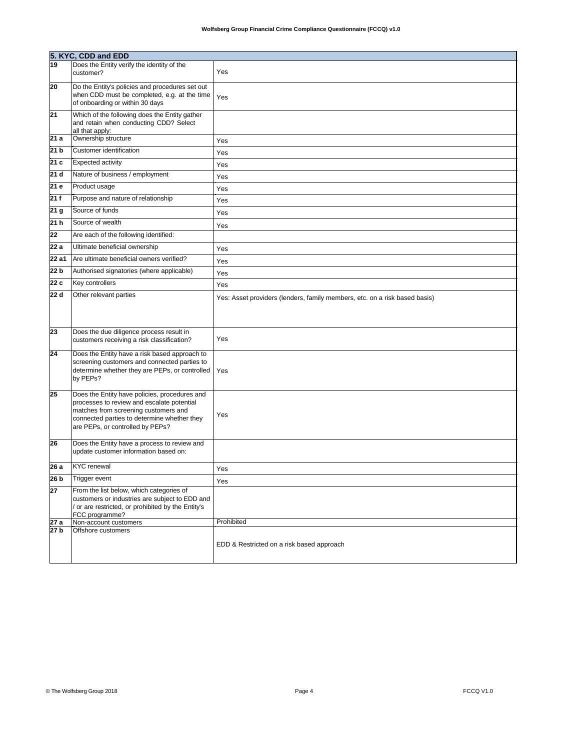|                   | 5. KYC, CDD and EDD                                                                |                                                                            |  |  |
|-------------------|------------------------------------------------------------------------------------|----------------------------------------------------------------------------|--|--|
| 19                | Does the Entity verify the identity of the                                         |                                                                            |  |  |
|                   | customer?                                                                          | Yes                                                                        |  |  |
| 20                | Do the Entity's policies and procedures set out                                    |                                                                            |  |  |
|                   | when CDD must be completed, e.g. at the time<br>of onboarding or within 30 days    | Yes                                                                        |  |  |
| 21                | Which of the following does the Entity gather                                      |                                                                            |  |  |
|                   | and retain when conducting CDD? Select                                             |                                                                            |  |  |
| 21 a              | all that apply:<br>Ownership structure                                             |                                                                            |  |  |
|                   | Customer identification                                                            | Yes                                                                        |  |  |
| 21 b              |                                                                                    | Yes                                                                        |  |  |
| 21 c              | Expected activity                                                                  | Yes                                                                        |  |  |
| 21d               | Nature of business / employment                                                    | Yes                                                                        |  |  |
| $\overline{21}$ e | Product usage                                                                      | Yes                                                                        |  |  |
| 21f               | Purpose and nature of relationship                                                 | Yes                                                                        |  |  |
| 21 g              | Source of funds                                                                    | Yes                                                                        |  |  |
| 21 <sub>h</sub>   | Source of wealth                                                                   | Yes                                                                        |  |  |
| 22                | Are each of the following identified:                                              |                                                                            |  |  |
| 22 a              | Ultimate beneficial ownership                                                      | Yes                                                                        |  |  |
| 22 a1             | Are ultimate beneficial owners verified?                                           | Yes                                                                        |  |  |
| 22 b              | Authorised signatories (where applicable)                                          | Yes                                                                        |  |  |
| 22c               | Key controllers                                                                    | Yes                                                                        |  |  |
| 22 d              | Other relevant parties                                                             | Yes: Asset providers (lenders, family members, etc. on a risk based basis) |  |  |
|                   |                                                                                    |                                                                            |  |  |
|                   |                                                                                    |                                                                            |  |  |
| 23                | Does the due diligence process result in                                           |                                                                            |  |  |
|                   | customers receiving a risk classification?                                         | Yes                                                                        |  |  |
| 24                | Does the Entity have a risk based approach to                                      |                                                                            |  |  |
|                   | screening customers and connected parties to                                       |                                                                            |  |  |
|                   | determine whether they are PEPs, or controlled<br>by PEPs?                         | Yes                                                                        |  |  |
|                   |                                                                                    |                                                                            |  |  |
| 25                | Does the Entity have policies, procedures and                                      |                                                                            |  |  |
|                   | processes to review and escalate potential<br>matches from screening customers and |                                                                            |  |  |
|                   | connected parties to determine whether they                                        | Yes                                                                        |  |  |
|                   | are PEPs, or controlled by PEPs?                                                   |                                                                            |  |  |
| 26                | Does the Entity have a process to review and                                       |                                                                            |  |  |
|                   | update customer information based on:                                              |                                                                            |  |  |
| 26 a              | <b>KYC</b> renewal                                                                 | Yes                                                                        |  |  |
| 26 <sub>b</sub>   | <b>Trigger event</b>                                                               | Yes                                                                        |  |  |
| $\overline{27}$   | From the list below, which categories of                                           |                                                                            |  |  |
|                   | customers or industries are subject to EDD and                                     |                                                                            |  |  |
|                   | / or are restricted, or prohibited by the Entity's<br>FCC programme?               |                                                                            |  |  |
| 27 a              | Non-account customers                                                              | Prohibited                                                                 |  |  |
| 27 b              | Offshore customers                                                                 |                                                                            |  |  |
|                   |                                                                                    | EDD & Restricted on a risk based approach                                  |  |  |
|                   |                                                                                    |                                                                            |  |  |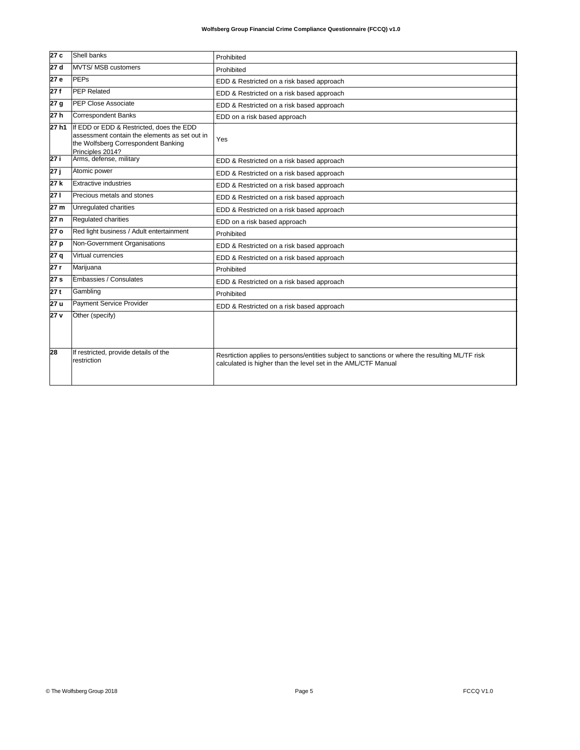| 27c             | Shell banks                                                                                                                                          | Prohibited                                                                                                                                                      |
|-----------------|------------------------------------------------------------------------------------------------------------------------------------------------------|-----------------------------------------------------------------------------------------------------------------------------------------------------------------|
| 27 d            | MVTS/ MSB customers                                                                                                                                  | Prohibited                                                                                                                                                      |
| 27 e            | PEPs                                                                                                                                                 | EDD & Restricted on a risk based approach                                                                                                                       |
| 27 f            | <b>PEP Related</b>                                                                                                                                   | EDD & Restricted on a risk based approach                                                                                                                       |
| 27 g            | <b>PEP Close Associate</b>                                                                                                                           | EDD & Restricted on a risk based approach                                                                                                                       |
| 27 h            | Correspondent Banks                                                                                                                                  | EDD on a risk based approach                                                                                                                                    |
| 27 h1           | If EDD or EDD & Restricted, does the EDD<br>assessment contain the elements as set out in<br>the Wolfsberg Correspondent Banking<br>Principles 2014? | Yes                                                                                                                                                             |
| 27 i            | Arms, defense, military                                                                                                                              | EDD & Restricted on a risk based approach                                                                                                                       |
| 27 ј            | Atomic power                                                                                                                                         | EDD & Restricted on a risk based approach                                                                                                                       |
| 27 k            | Extractive industries                                                                                                                                | EDD & Restricted on a risk based approach                                                                                                                       |
| 27 I            | Precious metals and stones                                                                                                                           | EDD & Restricted on a risk based approach                                                                                                                       |
| 27 m            | Unregulated charities                                                                                                                                | EDD & Restricted on a risk based approach                                                                                                                       |
| 27 n            | <b>Regulated charities</b>                                                                                                                           | EDD on a risk based approach                                                                                                                                    |
| 27 o            | Red light business / Adult entertainment                                                                                                             | Prohibited                                                                                                                                                      |
| 27 p            | Non-Government Organisations                                                                                                                         | EDD & Restricted on a risk based approach                                                                                                                       |
| 27 q            | Virtual currencies                                                                                                                                   | EDD & Restricted on a risk based approach                                                                                                                       |
| 27 r            | Marijuana                                                                                                                                            | Prohibited                                                                                                                                                      |
| 27 <sub>s</sub> | Embassies / Consulates                                                                                                                               | EDD & Restricted on a risk based approach                                                                                                                       |
| 27t             | Gambling                                                                                                                                             | Prohibited                                                                                                                                                      |
| 27 u            | Payment Service Provider                                                                                                                             | EDD & Restricted on a risk based approach                                                                                                                       |
| 27 v            | Other (specify)                                                                                                                                      |                                                                                                                                                                 |
| 28              | If restricted, provide details of the<br>restriction                                                                                                 | Resrtiction applies to persons/entities subject to sanctions or where the resulting ML/TF risk<br>calculated is higher than the level set in the AML/CTF Manual |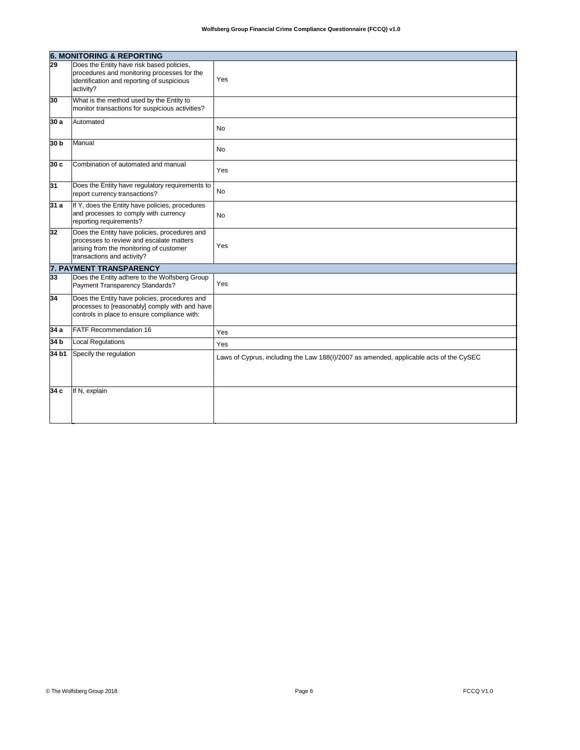|                 | <b>6. MONITORING &amp; REPORTING</b>                                                                                                                               |                                                                                        |  |
|-----------------|--------------------------------------------------------------------------------------------------------------------------------------------------------------------|----------------------------------------------------------------------------------------|--|
| $\overline{29}$ | Does the Entity have risk based policies,<br>procedures and monitoring processes for the<br>identification and reporting of suspicious<br>activity?                | Yes                                                                                    |  |
| 30              | What is the method used by the Entity to<br>monitor transactions for suspicious activities?                                                                        |                                                                                        |  |
| 30 a            | Automated                                                                                                                                                          | No.                                                                                    |  |
| 30 b            | Manual                                                                                                                                                             | No                                                                                     |  |
| 30 c            | Combination of automated and manual                                                                                                                                | Yes                                                                                    |  |
| 31              | Does the Entity have regulatory requirements to<br>report currency transactions?                                                                                   | No                                                                                     |  |
| 31 a            | If Y, does the Entity have policies, procedures<br>and processes to comply with currency<br>reporting requirements?                                                | No.                                                                                    |  |
| 32              | Does the Entity have policies, procedures and<br>brocesses to review and escalate matters<br>arising from the monitoring of customer<br>transactions and activity? | Yes                                                                                    |  |
|                 | <b>7. PAYMENT TRANSPARENCY</b>                                                                                                                                     |                                                                                        |  |
| 33              | Does the Entity adhere to the Wolfsberg Group<br>Payment Transparency Standards?                                                                                   | Yes                                                                                    |  |
| 34              | Does the Entity have policies, procedures and<br>processes to [reasonably] comply with and have<br>controls in place to ensure compliance with:                    |                                                                                        |  |
| 34 a            | <b>FATF Recommendation 16</b>                                                                                                                                      | Yes                                                                                    |  |
| 34 b            | <b>Local Regulations</b>                                                                                                                                           | Yes                                                                                    |  |
| 34 b1           | Specify the regulation                                                                                                                                             | Laws of Cyprus, including the Law 188(I)/2007 as amended, applicable acts of the CySEC |  |
| 34 с            | If N, explain                                                                                                                                                      |                                                                                        |  |